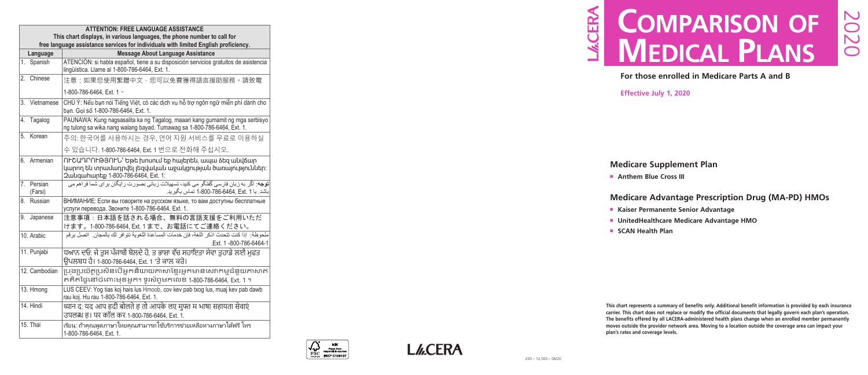# **Medicare Supplement Plan**

**n** Anthem Blue Cross III

- <sup>n</sup> **Kaiser Permanente Senior Advantage**
- **E** UnitedHealthcare Medicare Advantage HMO
- **n** SCAN Health Plan

# **Medicare Advantage Prescription Drug (MA-PD) HMOs**

# **M.CERA Comparison of mediCal plans**

**This chart represents a summary of benefits only. Additional benefit information is provided by each insurance carrier. This chart does not replace or modify the official documents that legally govern each plan's operation. The benefits offered by all LACERA-administered health plans change when an enrolled member permanently moves outside the provider network area. Moving to a location outside the coverage area can impact your plan's rates and coverage levels.**

**For those enrolled in Medicare Parts A and B**

**Effective July 1, 2020**



|    | <b>ATTENTION: FREE LANGUAGE ASSISTANCE</b><br>This chart displays, in various languages, the phone number to call for<br>free language assistance services for individuals with limited English proficiency. |                                                                                                                                                           |  |  |  |  |  |  |
|----|--------------------------------------------------------------------------------------------------------------------------------------------------------------------------------------------------------------|-----------------------------------------------------------------------------------------------------------------------------------------------------------|--|--|--|--|--|--|
|    | Language                                                                                                                                                                                                     | <b>Message About Language Assistance</b>                                                                                                                  |  |  |  |  |  |  |
|    | 1. Spanish                                                                                                                                                                                                   | ATENCIÓN: si habla español, tiene a su disposición servicios gratuitos de asistencia<br>lingüística. Llame al 1-800-786-6464, Ext. 1.                     |  |  |  |  |  |  |
|    | 2. Chinese                                                                                                                                                                                                   | 注意:如果您使用繁體中文,您可以免費獲得語言援助服務。請致電                                                                                                                            |  |  |  |  |  |  |
|    |                                                                                                                                                                                                              | 1-800-786-6464, Ext. 1 ·                                                                                                                                  |  |  |  |  |  |  |
|    | 3. Vietnamese                                                                                                                                                                                                | CHÚ Ý: Nếu bạn nói Tiếng Việt, có các dịch vụ hỗ trợ ngôn ngữ miễn phí dành cho<br>bạn. Gọi số 1-800-786-6464, Ext. 1.                                    |  |  |  |  |  |  |
|    | 4. Tagalog                                                                                                                                                                                                   | PAUNAWA: Kung nagsasalita ka ng Tagalog, maaari kang gumamit ng mga serbisyo<br>ng tulong sa wika nang walang bayad. Tumawag sa 1-800-786-6464, Ext. 1.   |  |  |  |  |  |  |
| 5. | Korean                                                                                                                                                                                                       | 주의: 한국어를 사용하시는 경우, 언어 지원 서비스를 무료로 이용하실                                                                                                                    |  |  |  |  |  |  |
|    |                                                                                                                                                                                                              | 수 있습니다. 1-800-786-6464, Ext. 1 번으로 전화해 주십시오.                                                                                                              |  |  |  |  |  |  |
|    | 6. Armenian                                                                                                                                                                                                  | ՈԻՇԱԴՐՈԻԹՅՈԻՆ` Եթե խոսում եք հայերեն, ապա ձեզ անվճար<br>կարող են տրամադրվել լեզվական աջակցության ծառայություններ։<br>2 ulguhun bp 1-800-786-6464, Ext. 1: |  |  |  |  |  |  |
|    | 7. Persian<br>(Farsi)                                                                                                                                                                                        | <b>توجه</b> : اگر به زبان فارسی گفتگو می کنید، تسهیلات زبانی بصورت رایگان برای شما فراهم می<br>باشد. با 6464, Ext. 1-800-786-6464, تماس بگیرید.           |  |  |  |  |  |  |
|    | 8. Russian                                                                                                                                                                                                   | ВНИМАНИЕ: Если вы говорите на русском языке, то вам доступны бесплатные<br>услуги перевода. Звоните 1-800-786-6464, Ext. 1.                               |  |  |  |  |  |  |
|    | 9. Japanese                                                                                                                                                                                                  | 注意事項:日本語を話される場合、無料の言語支援をご利用いただ<br>けます。1-800-786-6464, Ext.1まで、お電話にてご連絡ください。                                                                               |  |  |  |  |  |  |
|    | 10. Arabic                                                                                                                                                                                                   | ملحوظة:  إذا كنت تتحدث اذكر اللغة، فإن خدمات المساعدة اللغوية تتوافر لك بالمجان.  اتصل برقم<br>Ext. 1 .800-786-6464-1                                     |  |  |  |  |  |  |
|    | 11. Punjabi                                                                                                                                                                                                  | ਧਆਨ ਦਓ: ਜੇ ਤਸ ਪੰਜਾਬੀ ਬੋਲਦੇ ਹੋ, ਤ ਭਾਸ਼ਾ ਵੱਚ ਸਹਾਇਤਾ ਸੇਵਾ ਤਹਾਡੇ ਲਈ ਮਫਤ<br>ਉਪਲਬਧ ਹੈ। 1-800-786-6464, Ext. 1 'ਤੇ ਕਾਲ ਕਰੋ।                                      |  |  |  |  |  |  |
|    | 12. Cambodian                                                                                                                                                                                                | ប្រុងប្រយ័ត្នប្រសិនបើអ្នកនិយាយភាសាខ្មែរអ្នកមានសេវាកម្មជំនួយភាសាឥ<br>តគិតថ្លៃនៅចំពោះមុខអ្នក។ ទូរស័ព្ទមកលេខ 1-800-786-6464, Ext. 1 ។                        |  |  |  |  |  |  |
|    | 13. Hmong                                                                                                                                                                                                    | LUS CEEV: Yog tias koj hais lus Hmoob, cov kev pab txog lus, muaj kev pab dawb<br>rau koj. Hu rau 1-800-786-6464, Ext. 1.                                 |  |  |  |  |  |  |
|    | 14. Hindi                                                                                                                                                                                                    | ध्यान द: यद आप हदी बोलते ह तो आपके लए मुफ्त म भाषा सहायता सेवाएं<br>उपलब्ध ह। पर कॉल कर 1-800-786-6464, Ext. 1.                                           |  |  |  |  |  |  |
|    | 15. Thai                                                                                                                                                                                                     | ้เรียน: ถ้าคุณพูดภาษาไทยคุณสามารถใช้บริการช่วยเหลือทางภาษาได้ฟรี โทร<br>1-800-786-6464, Ext. 1.                                                           |  |  |  |  |  |  |